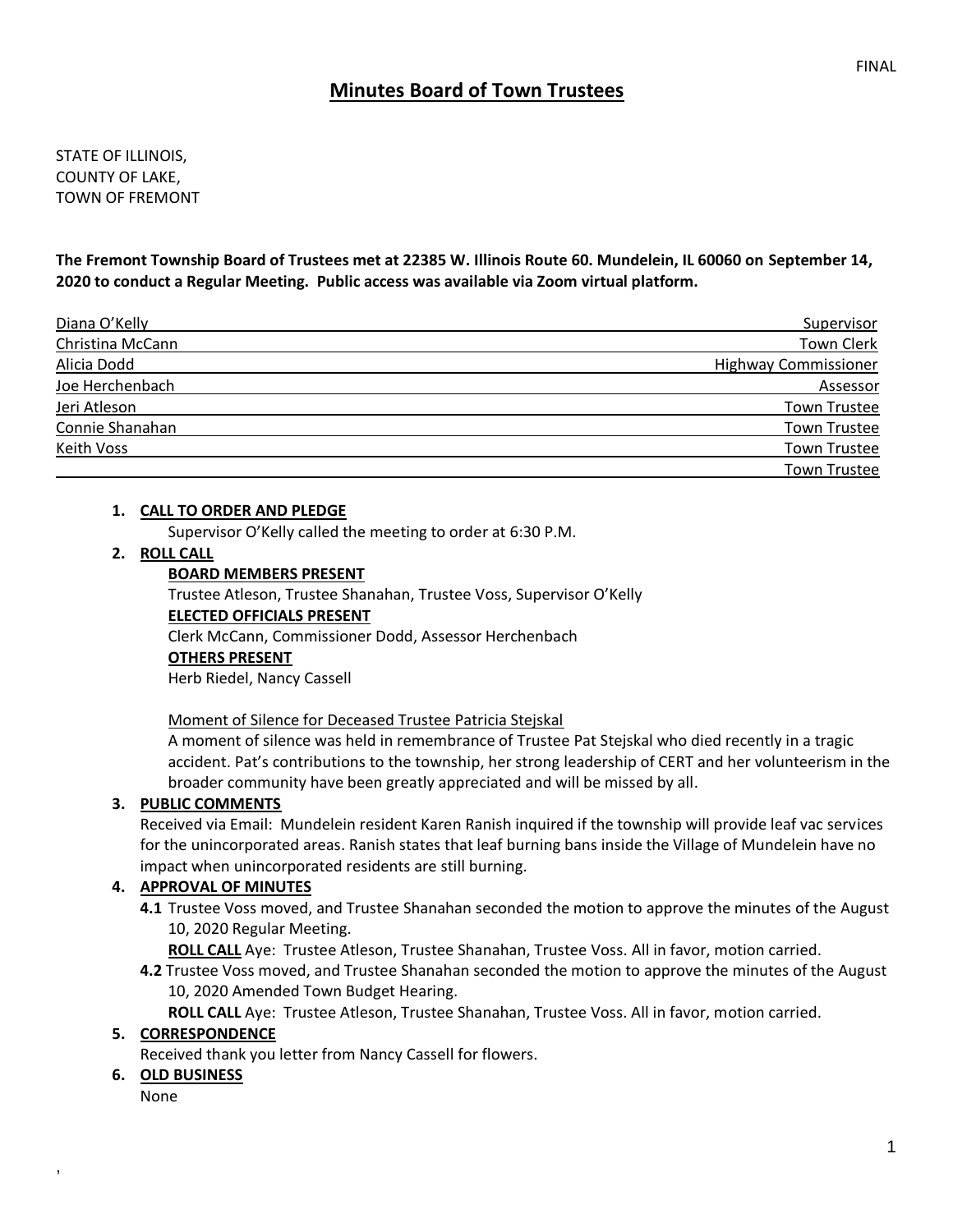# **Minutes Board of Town Trustees**

STATE OF ILLINOIS, COUNTY OF LAKE, TOWN OF FREMONT

**The Fremont Township Board of Trustees met at 22385 W. Illinois Route 60. Mundelein, IL 60060 on September 14, 2020 to conduct a Regular Meeting. Public access was available via Zoom virtual platform.**

| Diana O'Kelly    | Supervisor                  |
|------------------|-----------------------------|
| Christina McCann | <b>Town Clerk</b>           |
| Alicia Dodd      | <b>Highway Commissioner</b> |
| Joe Herchenbach  | Assessor                    |
| Jeri Atleson     | <b>Town Trustee</b>         |
| Connie Shanahan  | <b>Town Trustee</b>         |
| Keith Voss       | <b>Town Trustee</b>         |
|                  | <b>Town Trustee</b>         |

#### **1. CALL TO ORDER AND PLEDGE**

Supervisor O'Kelly called the meeting to order at 6:30 P.M.

#### **2. ROLL CALL**

#### **BOARD MEMBERS PRESENT**

Trustee Atleson, Trustee Shanahan, Trustee Voss, Supervisor O'Kelly **ELECTED OFFICIALS PRESENT** Clerk McCann, Commissioner Dodd, Assessor Herchenbach **OTHERS PRESENT** Herb Riedel, Nancy Cassell

#### Moment of Silence for Deceased Trustee Patricia Stejskal

A moment of silence was held in remembrance of Trustee Pat Stejskal who died recently in a tragic accident. Pat's contributions to the township, her strong leadership of CERT and her volunteerism in the broader community have been greatly appreciated and will be missed by all.

#### **3. PUBLIC COMMENTS**

Received via Email: Mundelein resident Karen Ranish inquired if the township will provide leaf vac services for the unincorporated areas. Ranish states that leaf burning bans inside the Village of Mundelein have no impact when unincorporated residents are still burning.

### **4. APPROVAL OF MINUTES**

**4.1** Trustee Voss moved, and Trustee Shanahan seconded the motion to approve the minutes of the August 10, 2020 Regular Meeting.

**ROLL CALL** Aye: Trustee Atleson, Trustee Shanahan, Trustee Voss. All in favor, motion carried.

**4.2** Trustee Voss moved, and Trustee Shanahan seconded the motion to approve the minutes of the August 10, 2020 Amended Town Budget Hearing.

**ROLL CALL** Aye: Trustee Atleson, Trustee Shanahan, Trustee Voss. All in favor, motion carried.

#### **5. CORRESPONDENCE**

Received thank you letter from Nancy Cassell for flowers.

#### **6. OLD BUSINESS**

None

,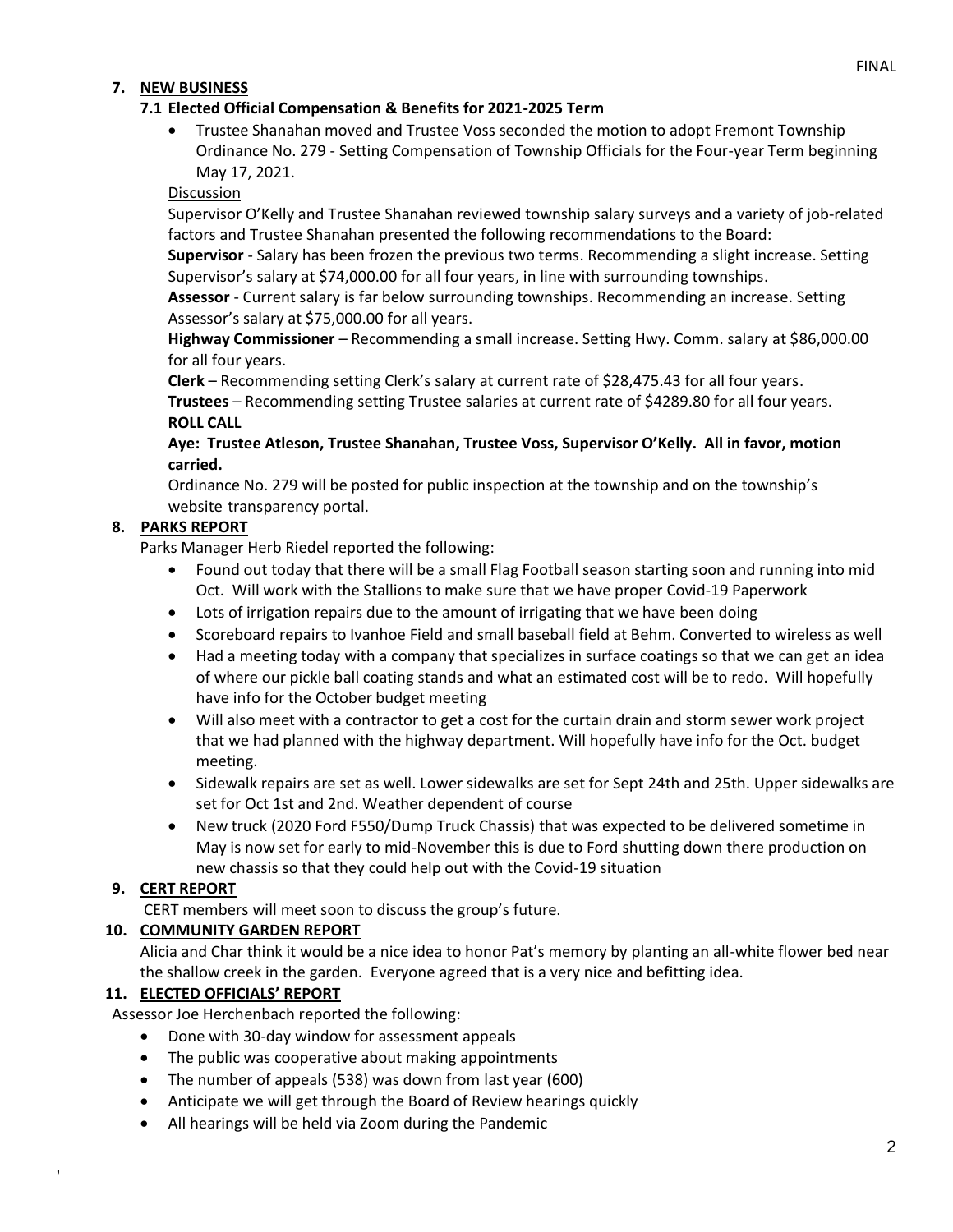## **7. NEW BUSINESS**

### **7.1 Elected Official Compensation & Benefits for 2021-2025 Term**

• Trustee Shanahan moved and Trustee Voss seconded the motion to adopt Fremont Township Ordinance No. 279 - Setting Compensation of Township Officials for the Four-year Term beginning May 17, 2021.

Discussion

Supervisor O'Kelly and Trustee Shanahan reviewed township salary surveys and a variety of job-related factors and Trustee Shanahan presented the following recommendations to the Board:

**Supervisor** - Salary has been frozen the previous two terms. Recommending a slight increase. Setting Supervisor's salary at \$74,000.00 for all four years, in line with surrounding townships.

**Assessor** - Current salary is far below surrounding townships. Recommending an increase. Setting Assessor's salary at \$75,000.00 for all years.

**Highway Commissioner** – Recommending a small increase. Setting Hwy. Comm. salary at \$86,000.00 for all four years.

**Clerk** – Recommending setting Clerk's salary at current rate of \$28,475.43 for all four years.

**Trustees** – Recommending setting Trustee salaries at current rate of \$4289.80 for all four years. **ROLL CALL**

**Aye: Trustee Atleson, Trustee Shanahan, Trustee Voss, Supervisor O'Kelly. All in favor, motion carried.** 

Ordinance No. 279 will be posted for public inspection at the township and on the township's website transparency portal.

## **8. PARKS REPORT**

Parks Manager Herb Riedel reported the following:

- Found out today that there will be a small Flag Football season starting soon and running into mid Oct. Will work with the Stallions to make sure that we have proper Covid-19 Paperwork
- Lots of irrigation repairs due to the amount of irrigating that we have been doing
- Scoreboard repairs to Ivanhoe Field and small baseball field at Behm. Converted to wireless as well
- Had a meeting today with a company that specializes in surface coatings so that we can get an idea of where our pickle ball coating stands and what an estimated cost will be to redo. Will hopefully have info for the October budget meeting
- Will also meet with a contractor to get a cost for the curtain drain and storm sewer work project that we had planned with the highway department. Will hopefully have info for the Oct. budget meeting.
- Sidewalk repairs are set as well. Lower sidewalks are set for Sept 24th and 25th. Upper sidewalks are set for Oct 1st and 2nd. Weather dependent of course
- New truck (2020 Ford F550/Dump Truck Chassis) that was expected to be delivered sometime in May is now set for early to mid-November this is due to Ford shutting down there production on new chassis so that they could help out with the Covid-19 situation

## **9. CERT REPORT**

,

CERT members will meet soon to discuss the group's future.

## **10. COMMUNITY GARDEN REPORT**

Alicia and Char think it would be a nice idea to honor Pat's memory by planting an all-white flower bed near the shallow creek in the garden. Everyone agreed that is a very nice and befitting idea.

## **11. ELECTED OFFICIALS' REPORT**

Assessor Joe Herchenbach reported the following:

- Done with 30-day window for assessment appeals
- The public was cooperative about making appointments
- The number of appeals (538) was down from last year (600)
- Anticipate we will get through the Board of Review hearings quickly
- All hearings will be held via Zoom during the Pandemic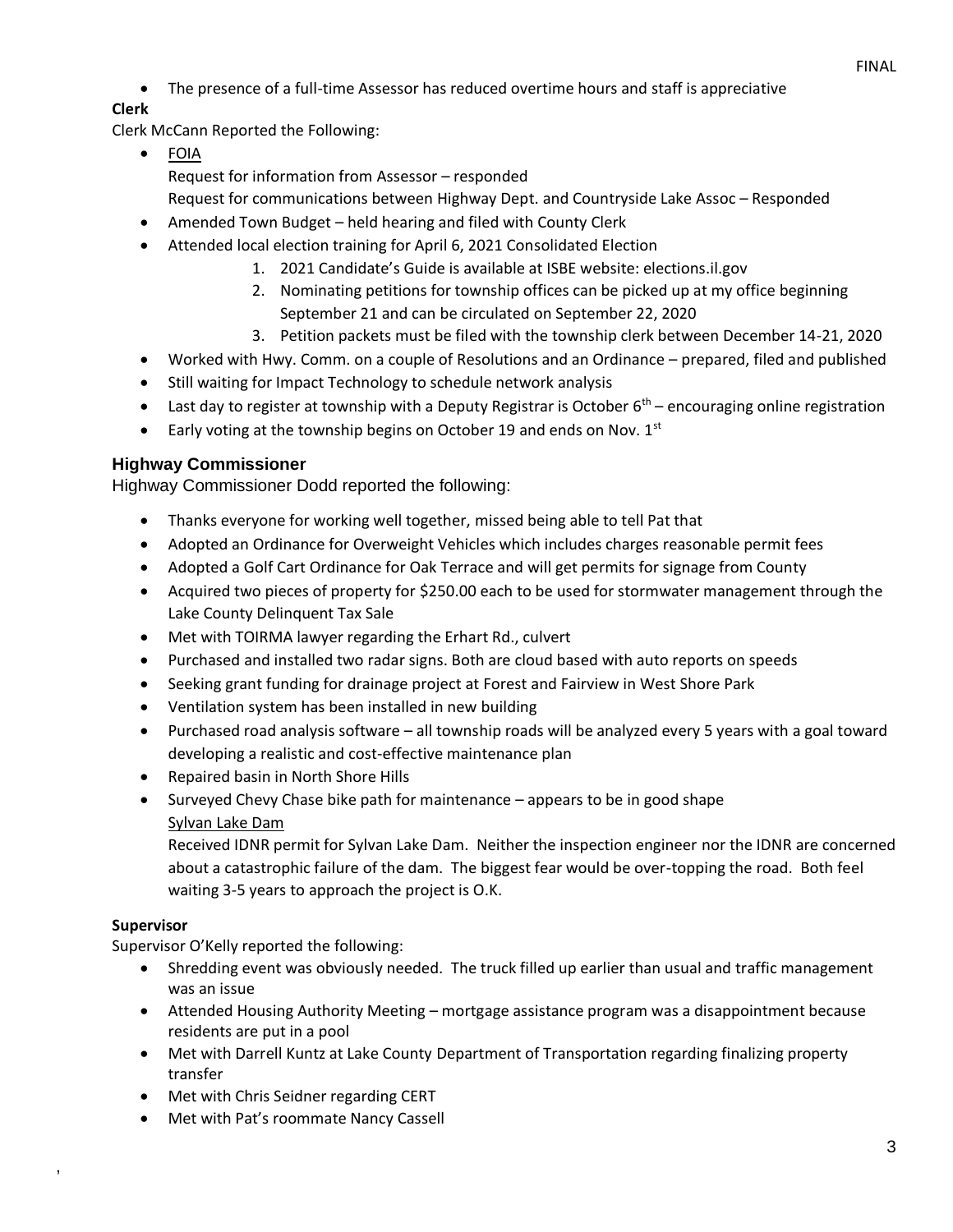• The presence of a full-time Assessor has reduced overtime hours and staff is appreciative

# **Clerk**

Clerk McCann Reported the Following:

- FOIA Request for information from Assessor – responded Request for communications between Highway Dept. and Countryside Lake Assoc – Responded
- Amended Town Budget held hearing and filed with County Clerk
- Attended local election training for April 6, 2021 Consolidated Election
	- 1. 2021 Candidate's Guide is available at ISBE website: elections.il.gov
	- 2. Nominating petitions for township offices can be picked up at my office beginning September 21 and can be circulated on September 22, 2020
	- 3. Petition packets must be filed with the township clerk between December 14-21, 2020
- Worked with Hwy. Comm. on a couple of Resolutions and an Ordinance prepared, filed and published
- Still waiting for Impact Technology to schedule network analysis
- Last day to register at township with a Deputy Registrar is October  $6^{th}$  encouraging online registration
- Early voting at the township begins on October 19 and ends on Nov.  $1<sup>st</sup>$

# **Highway Commissioner**

Highway Commissioner Dodd reported the following:

- Thanks everyone for working well together, missed being able to tell Pat that
- Adopted an Ordinance for Overweight Vehicles which includes charges reasonable permit fees
- Adopted a Golf Cart Ordinance for Oak Terrace and will get permits for signage from County
- Acquired two pieces of property for \$250.00 each to be used for stormwater management through the Lake County Delinquent Tax Sale
- Met with TOIRMA lawyer regarding the Erhart Rd., culvert
- Purchased and installed two radar signs. Both are cloud based with auto reports on speeds
- Seeking grant funding for drainage project at Forest and Fairview in West Shore Park
- Ventilation system has been installed in new building
- Purchased road analysis software all township roads will be analyzed every 5 years with a goal toward developing a realistic and cost-effective maintenance plan
- Repaired basin in North Shore Hills
- Surveyed Chevy Chase bike path for maintenance appears to be in good shape Sylvan Lake Dam

Received IDNR permit for Sylvan Lake Dam. Neither the inspection engineer nor the IDNR are concerned about a catastrophic failure of the dam. The biggest fear would be over-topping the road. Both feel waiting 3-5 years to approach the project is O.K.

# **Supervisor**

,

Supervisor O'Kelly reported the following:

- Shredding event was obviously needed. The truck filled up earlier than usual and traffic management was an issue
- Attended Housing Authority Meeting mortgage assistance program was a disappointment because residents are put in a pool
- Met with Darrell Kuntz at Lake County Department of Transportation regarding finalizing property transfer
- Met with Chris Seidner regarding CERT
- Met with Pat's roommate Nancy Cassell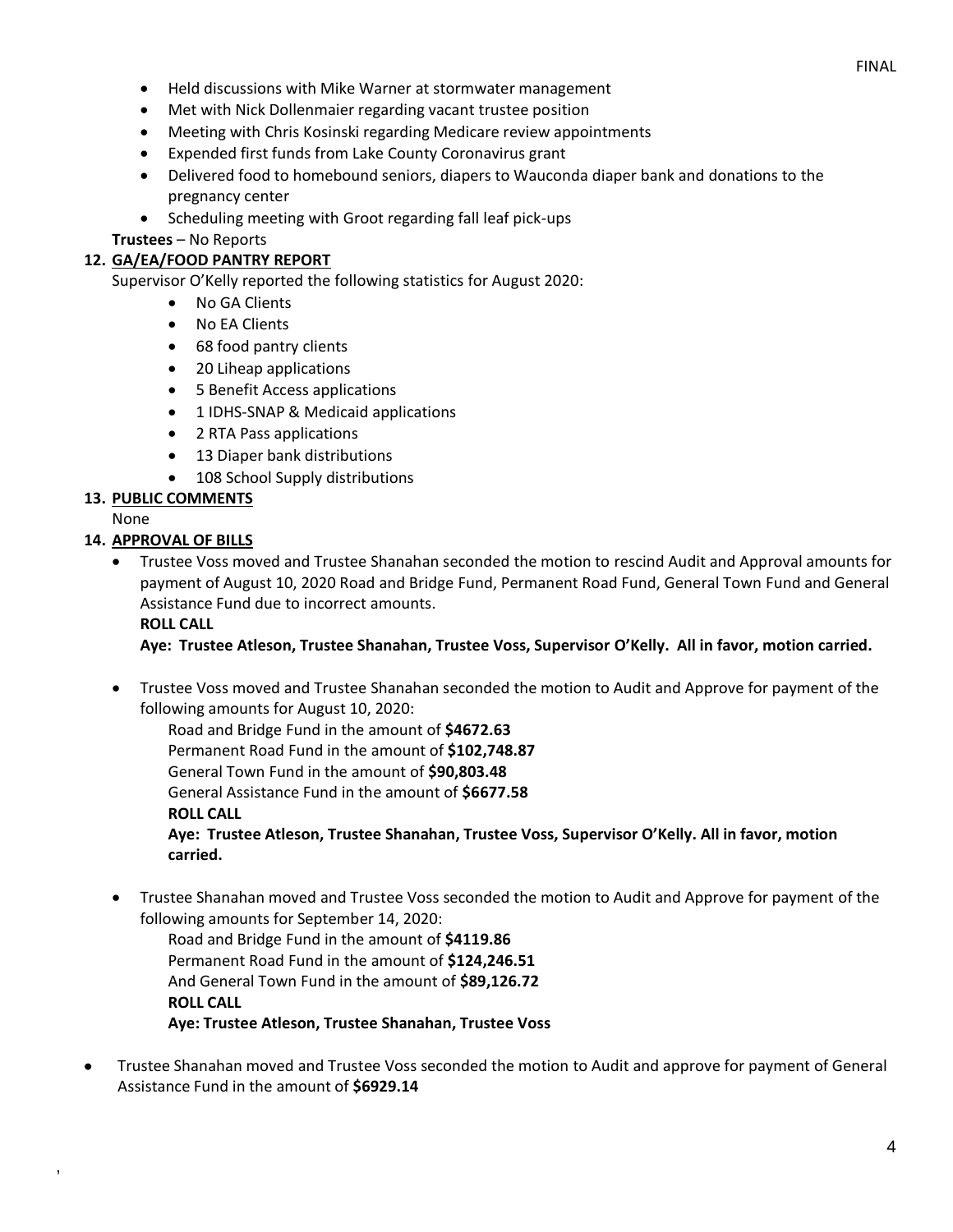- Held discussions with Mike Warner at stormwater management
- Met with Nick Dollenmaier regarding vacant trustee position
- Meeting with Chris Kosinski regarding Medicare review appointments
- Expended first funds from Lake County Coronavirus grant
- Delivered food to homebound seniors, diapers to Wauconda diaper bank and donations to the pregnancy center
- Scheduling meeting with Groot regarding fall leaf pick-ups

**Trustees** – No Reports

### **12. GA/EA/FOOD PANTRY REPORT**

Supervisor O'Kelly reported the following statistics for August 2020:

- No GA Clients
- No EA Clients
- 68 food pantry clients
- 20 Liheap applications
- 5 Benefit Access applications
- 1 IDHS-SNAP & Medicaid applications
- 2 RTA Pass applications
- 13 Diaper bank distributions
- 108 School Supply distributions

### **13. PUBLIC COMMENTS**

None

,

### **14. APPROVAL OF BILLS**

• Trustee Voss moved and Trustee Shanahan seconded the motion to rescind Audit and Approval amounts for payment of August 10, 2020 Road and Bridge Fund, Permanent Road Fund, General Town Fund and General Assistance Fund due to incorrect amounts.

### **ROLL CALL**

**Aye: Trustee Atleson, Trustee Shanahan, Trustee Voss, Supervisor O'Kelly. All in favor, motion carried.**

• Trustee Voss moved and Trustee Shanahan seconded the motion to Audit and Approve for payment of the following amounts for August 10, 2020:

Road and Bridge Fund in the amount of **\$4672.63** Permanent Road Fund in the amount of **\$102,748.87** General Town Fund in the amount of **\$90,803.48** General Assistance Fund in the amount of **\$6677.58 ROLL CALL**

**Aye: Trustee Atleson, Trustee Shanahan, Trustee Voss, Supervisor O'Kelly. All in favor, motion carried.**

• Trustee Shanahan moved and Trustee Voss seconded the motion to Audit and Approve for payment of the following amounts for September 14, 2020:

Road and Bridge Fund in the amount of **\$4119.86** Permanent Road Fund in the amount of **\$124,246.51** And General Town Fund in the amount of **\$89,126.72 ROLL CALL Aye: Trustee Atleson, Trustee Shanahan, Trustee Voss**

• Trustee Shanahan moved and Trustee Voss seconded the motion to Audit and approve for payment of General Assistance Fund in the amount of **\$6929.14**